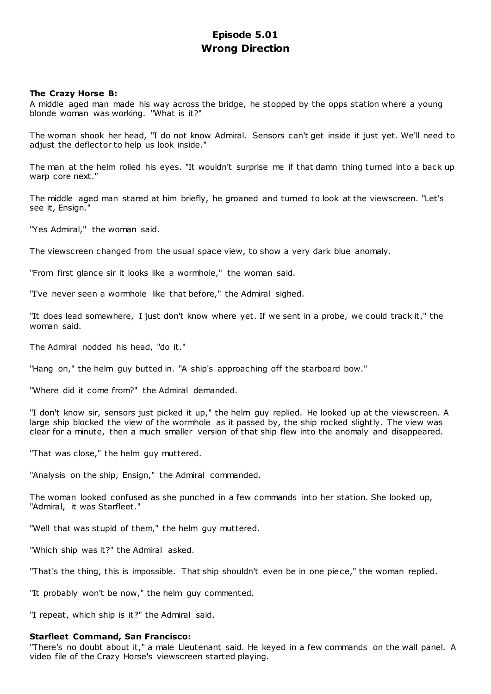# **Episode 5.01 Wrong Direction**

# **The Crazy Horse B:**

A middle aged man made his way across the bridge, he stopped by the opps station where a young blonde woman was working. "What is it?"

The woman shook her head, "I do not know Admiral. Sensors can't get inside it just yet. We'll need to adjust the deflector to help us look inside."

The man at the helm rolled his eyes. "It wouldn't surprise me if that damn thing turned into a back up warp core next."

The middle aged man stared at him briefly, he groaned and turned to look at the viewscreen. "Let's see it, Ensign."

"Yes Admiral," the woman said.

The viewscreen changed from the usual space view, to show a very dark blue anomaly.

"From first glance sir it looks like a wormhole," the woman said.

"I've never seen a wormhole like that before," the Admiral sighed.

"It does lead somewhere, I just don't know where yet. If we sent in a probe, we could track it," the woman said.

The Admiral nodded his head, "do it."

"Hang on," the helm guy butted in. "A ship's approaching off the starboard bow."

"Where did it come from?" the Admiral demanded.

"I don't know sir, sensors just picked it up," the helm guy replied. He looked up at the viewscreen. A large ship blocked the view of the wormhole as it passed by, the ship rocked slightly. The view was clear for a minute, then a much smaller version of that ship flew into the anomaly and disappeared.

"That was close," the helm guy muttered.

"Analysis on the ship, Ensign," the Admiral commanded.

The woman looked confused as she punched in a few commands into her station. She looked up, "Admiral, it was Starfleet."

"Well that was stupid of them," the helm guy muttered.

"Which ship was it?" the Admiral asked.

"That's the thing, this is impossible. That ship shouldn't even be in one piece," the woman replied.

"It probably won't be now," the helm guy commented.

"I repeat, which ship is it?" the Admiral said.

# **Starfleet Command, San Francisco:**

"There's no doubt about it," a male Lieutenant said. He keyed in a few commands on the wall panel. A video file of the Crazy Horse's viewscreen started playing.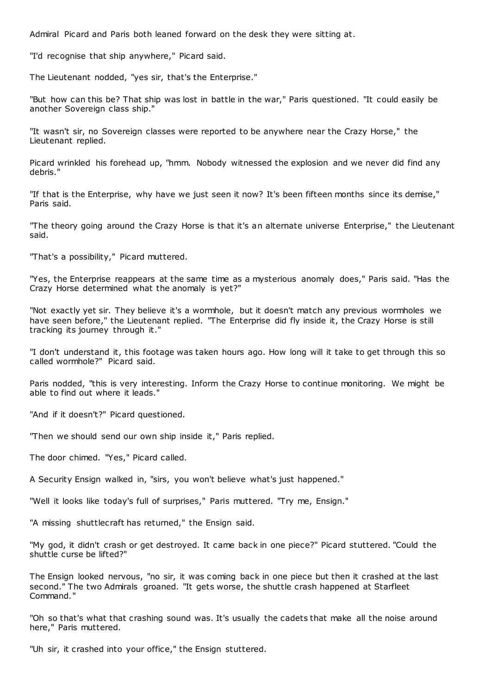Admiral Picard and Paris both leaned forward on the desk they were sitting at.

"I'd recognise that ship anywhere," Picard said.

The Lieutenant nodded, "yes sir, that's the Enterprise."

"But how can this be? That ship was lost in battle in the war," Paris questioned. "It could easily be another Sovereign class ship."

"It wasn't sir, no Sovereign classes were reported to be anywhere near the Crazy Horse," the Lieutenant replied.

Picard wrinkled his forehead up, "hmm. Nobody witnessed the explosion and we never did find any debris."

"If that is the Enterprise, why have we just seen it now? It's been fifteen months since its demise," Paris said.

"The theory going around the Crazy Horse is that it's an alternate universe Enterprise," the Lieutenant said.

"That's a possibility," Picard muttered.

"Yes, the Enterprise reappears at the same time as a mysterious anomaly does," Paris said. "Has the Crazy Horse determined what the anomaly is yet?"

"Not exactly yet sir. They believe it's a wormhole, but it doesn't match any previous wormholes we have seen before," the Lieutenant replied. "The Enterprise did fly inside it, the Crazy Horse is still tracking its journey through it."

"I don't understand it, this footage was taken hours ago. How long will it take to get through this so called wormhole?" Picard said.

Paris nodded, "this is very interesting. Inform the Crazy Horse to continue monitoring. We might be able to find out where it leads."

"And if it doesn't?" Picard questioned.

"Then we should send our own ship inside it," Paris replied.

The door chimed. "Yes," Picard called.

A Security Ensign walked in, "sirs, you won't believe what's just happened."

"Well it looks like today's full of surprises," Paris muttered. "Try me, Ensign."

"A missing shuttlecraft has returned," the Ensign said.

"My god, it didn't crash or get destroyed. It came back in one piece?" Picard stuttered. "Could the shuttle curse be lifted?"

The Ensign looked nervous, "no sir, it was coming back in one piece but then it crashed at the last second." The two Admirals groaned. "It gets worse, the shuttle crash happened at Starfleet Command."

"Oh so that's what that crashing sound was. It's usually the cadets that make all the noise around here," Paris muttered.

"Uh sir, it crashed into your office," the Ensign stuttered.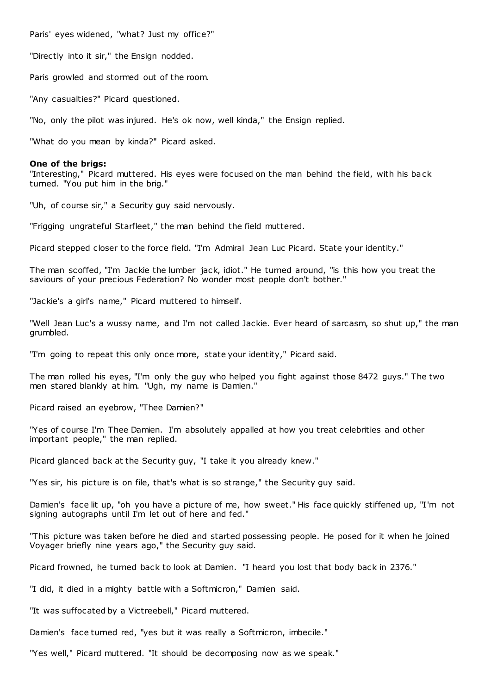Paris' eyes widened, "what? Just my office?"

"Directly into it sir," the Ensign nodded.

Paris growled and stormed out of the room.

"Any casualties?" Picard questioned.

"No, only the pilot was injured. He's ok now, well kinda," the Ensign replied.

"What do you mean by kinda?" Picard asked.

### **One of the brigs:**

"Interesting," Picard muttered. His eyes were focused on the man behind the field, with his back turned. "You put him in the brig."

"Uh, of course sir," a Security guy said nervously.

"Frigging ungrateful Starfleet," the man behind the field muttered.

Picard stepped closer to the force field. "I'm Admiral Jean Luc Picard. State your identity."

The man scoffed, "I'm Jackie the lumber jack, idiot." He turned around, "is this how you treat the saviours of your precious Federation? No wonder most people don't bother."

"Jackie's a girl's name," Picard muttered to himself.

"Well Jean Luc's a wussy name, and I'm not called Jackie. Ever heard of sarcasm, so shut up," the man grumbled.

"I'm going to repeat this only once more, state your identity," Picard said.

The man rolled his eyes, "I'm only the guy who helped you fight against those 8472 guys." The two men stared blankly at him. "Ugh, my name is Damien."

Picard raised an eyebrow, "Thee Damien?"

"Yes of course I'm Thee Damien. I'm absolutely appalled at how you treat celebrities and other important people," the man replied.

Picard glanced back at the Security guy, "I take it you already knew."

"Yes sir, his picture is on file, that's what is so strange," the Security guy said.

Damien's face lit up, "oh you have a picture of me, how sweet." His face quickly stiffened up, "I'm not signing autographs until I'm let out of here and fed."

"This picture was taken before he died and started possessing people. He posed for it when he joined Voyager briefly nine years ago," the Security guy said.

Picard frowned, he turned back to look at Damien. "I heard you lost that body back in 2376."

"I did, it died in a mighty battle with a Softmicron," Damien said.

"It was suffocated by a Victreebell," Picard muttered.

Damien's face turned red, "yes but it was really a Softmicron, imbecile."

"Yes well," Picard muttered. "It should be decomposing now as we speak."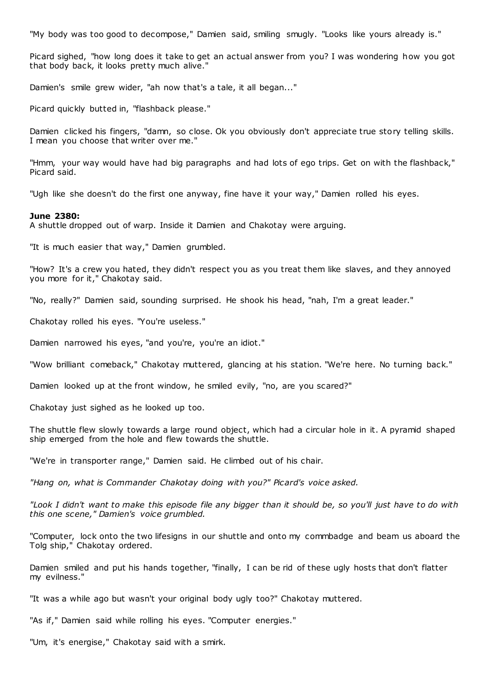"My body was too good to decompose," Damien said, smiling smugly. "Looks like yours already is."

Picard sighed, "how long does it take to get an actual answer from you? I was wondering how you got that body back, it looks pretty much alive."

Damien's smile grew wider, "ah now that's a tale, it all began..."

Picard quickly butted in, "flashback please."

Damien clicked his fingers, "damn, so close. Ok you obviously don't appreciate true story telling skills. I mean you choose that writer over me."

"Hmm, your way would have had big paragraphs and had lots of ego trips. Get on with the flashback," Picard said.

"Ugh like she doesn't do the first one anyway, fine have it your way," Damien rolled his eyes.

# **June 2380:**

A shuttle dropped out of warp. Inside it Damien and Chakotay were arguing.

"It is much easier that way," Damien grumbled.

"How? It's a crew you hated, they didn't respect you as you treat them like slaves, and they annoyed you more for it," Chakotay said.

"No, really?" Damien said, sounding surprised. He shook his head, "nah, I'm a great leader."

Chakotay rolled his eyes. "You're useless."

Damien narrowed his eyes, "and you're, you're an idiot."

"Wow brilliant comeback," Chakotay muttered, glancing at his station. "We're here. No turning back."

Damien looked up at the front window, he smiled evily, "no, are you scared?"

Chakotay just sighed as he looked up too.

The shuttle flew slowly towards a large round object, which had a circular hole in it. A pyramid shaped ship emerged from the hole and flew towards the shuttle.

"We're in transporter range," Damien said. He climbed out of his chair.

*"Hang on, what is Commander Chakotay doing with you?" Picard's voice asked.*

*"Look I didn't want to make this episode file any bigger than it should be, so you'll just have to do with this one scene," Damien's voice grumbled.*

"Computer, lock onto the two lifesigns in our shuttle and onto my commbadge and beam us aboard the Tolg ship," Chakotay ordered.

Damien smiled and put his hands together, "finally, I can be rid of these ugly hosts that don't flatter my evilness."

"It was a while ago but wasn't your original body ugly too?" Chakotay muttered.

"As if," Damien said while rolling his eyes. "Computer energies."

"Um, it's energise," Chakotay said with a smirk.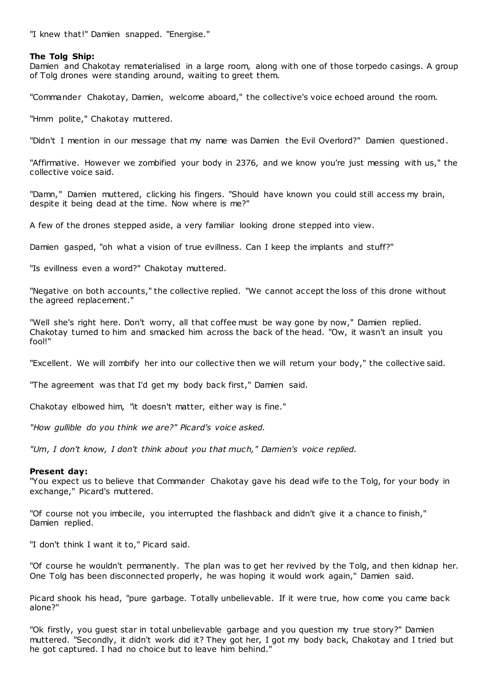"I knew that!" Damien snapped. "Energise."

# **The Tolg Ship:**

Damien and Chakotay rematerialised in a large room, along with one of those torpedo casings. A group of Tolg drones were standing around, waiting to greet them.

"Commander Chakotay, Damien, welcome aboard," the collective's voice echoed around the room.

"Hmm polite," Chakotay muttered.

"Didn't I mention in our message that my name was Damien the Evil Overlord?" Damien questioned.

"Affirmative. However we zombified your body in 2376, and we know you're just messing with us," the collective voice said.

"Damn," Damien muttered, clicking his fingers. "Should have known you could still access my brain, despite it being dead at the time. Now where is me?"

A few of the drones stepped aside, a very familiar looking drone stepped into view.

Damien gasped, "oh what a vision of true evillness. Can I keep the implants and stuff?"

"Is evillness even a word?" Chakotay muttered.

"Negative on both accounts," the collective replied. "We cannot accept the loss of this drone without the agreed replacement."

"Well she's right here. Don't worry, all that coffee must be way gone by now," Damien replied. Chakotay turned to him and smacked him across the back of the head. "Ow, it wasn't an insult you fool!"

"Excellent. We will zombify her into our collective then we will return your body," the collective said.

"The agreement was that I'd get my body back first," Damien said.

Chakotay elbowed him, "it doesn't matter, either way is fine."

*"How gullible do you think we are?" Picard's voice asked.*

*"Um, I don't know, I don't think about you that much," Damien's voice replied.*

# **Present day:**

"You expect us to believe that Commander Chakotay gave his dead wife to the Tolg, for your body in exchange," Picard's muttered.

"Of course not you imbecile, you interrupted the flashback and didn't give it a chance to finish," Damien replied.

"I don't think I want it to," Picard said.

"Of course he wouldn't permanently. The plan was to get her revived by the Tolg, and then kidnap her. One Tolg has been disconnected properly, he was hoping it would work again," Damien said.

Picard shook his head, "pure garbage. Totally unbelievable. If it were true, how come you came back alone?"

"Ok firstly, you guest star in total unbelievable garbage and you question my true story?" Damien muttered. "Secondly, it didn't work did it? They got her, I got my body back, Chakotay and I tried but he got captured. I had no choice but to leave him behind."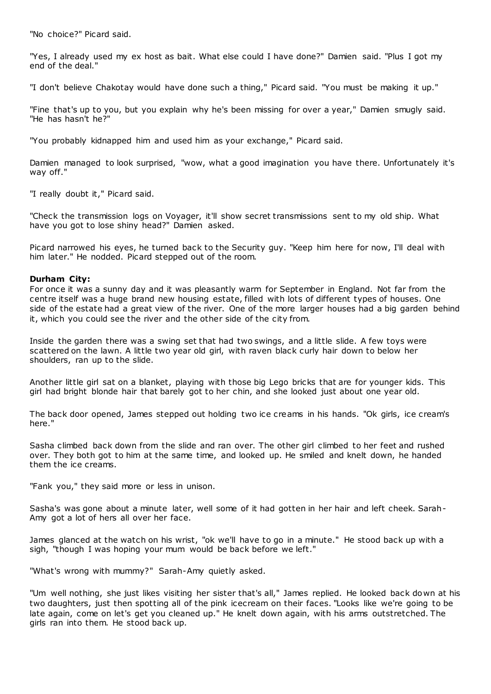"No choice?" Picard said.

"Yes, I already used my ex host as bait. What else could I have done?" Damien said. "Plus I got my end of the deal."

"I don't believe Chakotay would have done such a thing," Picard said. "You must be making it up."

"Fine that's up to you, but you explain why he's been missing for over a year," Damien smugly said. "He has hasn't he?"

"You probably kidnapped him and used him as your exchange," Picard said.

Damien managed to look surprised, "wow, what a good imagination you have there. Unfortunately it's way off."

"I really doubt it," Picard said.

"Check the transmission logs on Voyager, it'll show secret transmissions sent to my old ship. What have you got to lose shiny head?" Damien asked.

Picard narrowed his eyes, he turned back to the Security guy. "Keep him here for now, I'll deal with him later." He nodded. Picard stepped out of the room.

# **Durham City:**

For once it was a sunny day and it was pleasantly warm for September in England. Not far from the centre itself was a huge brand new housing estate, filled with lots of different types of houses. One side of the estate had a great view of the river. One of the more larger houses had a big garden behind it, which you could see the river and the other side of the city from.

Inside the garden there was a swing set that had two swings, and a little slide. A few toys were scattered on the lawn. A little two year old girl, with raven black curly hair down to below her shoulders, ran up to the slide.

Another little girl sat on a blanket, playing with those big Lego bricks that are for younger kids. This girl had bright blonde hair that barely got to her chin, and she looked just about one year old.

The back door opened, James stepped out holding two ice creams in his hands. "Ok girls, ice cream's here."

Sasha climbed back down from the slide and ran over. The other girl climbed to her feet and rushed over. They both got to him at the same time, and looked up. He smiled and knelt down, he handed them the ice creams.

"Fank you," they said more or less in unison.

Sasha's was gone about a minute later, well some of it had gotten in her hair and left cheek. Sarah-Amy got a lot of hers all over her face.

James glanced at the watch on his wrist, "ok we'll have to go in a minute." He stood back up with a sigh, "though I was hoping your mum would be back before we left."

"What's wrong with mummy?" Sarah-Amy quietly asked.

"Um well nothing, she just likes visiting her sister that's all," James replied. He looked back down at his two daughters, just then spotting all of the pink icecream on their faces. "Looks like we're going to be late again, come on let's get you cleaned up." He knelt down again, with his arms outstretched. The girls ran into them. He stood back up.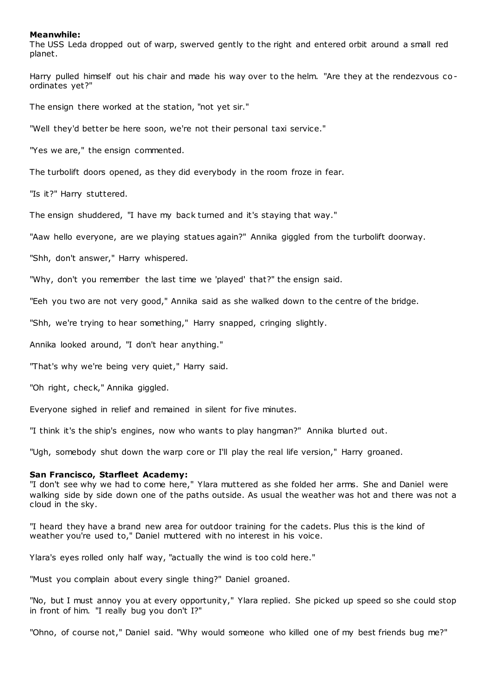## **Meanwhile:**

The USS Leda dropped out of warp, swerved gently to the right and entered orbit around a small red planet.

Harry pulled himself out his chair and made his way over to the helm. "Are they at the rendezvous coordinates yet?"

The ensign there worked at the station, "not yet sir."

"Well they'd better be here soon, we're not their personal taxi service."

"Yes we are," the ensign commented.

The turbolift doors opened, as they did everybody in the room froze in fear.

"Is it?" Harry stuttered.

The ensign shuddered, "I have my back turned and it's staying that way."

"Aaw hello everyone, are we playing statues again?" Annika giggled from the turbolift doorway.

"Shh, don't answer," Harry whispered.

"Why, don't you remember the last time we 'played' that?" the ensign said.

"Eeh you two are not very good," Annika said as she walked down to the centre of the bridge.

"Shh, we're trying to hear something," Harry snapped, cringing slightly.

Annika looked around, "I don't hear anything."

"That's why we're being very quiet," Harry said.

"Oh right, check," Annika giggled.

Everyone sighed in relief and remained in silent for five minutes.

"I think it's the ship's engines, now who wants to play hangman?" Annika blurted out.

"Ugh, somebody shut down the warp core or I'll play the real life version," Harry groaned.

## **San Francisco, Starfleet Academy:**

"I don't see why we had to come here," Ylara muttered as she folded her arms. She and Daniel were walking side by side down one of the paths outside. As usual the weather was hot and there was not a cloud in the sky.

"I heard they have a brand new area for outdoor training for the cadets. Plus this is the kind of weather you're used to," Daniel muttered with no interest in his voice.

Ylara's eyes rolled only half way, "actually the wind is too cold here."

"Must you complain about every single thing?" Daniel groaned.

"No, but I must annoy you at every opportunity," Ylara replied. She picked up speed so she could stop in front of him. "I really bug you don't I?"

"Ohno, of course not," Daniel said. "Why would someone who killed one of my best friends bug me?"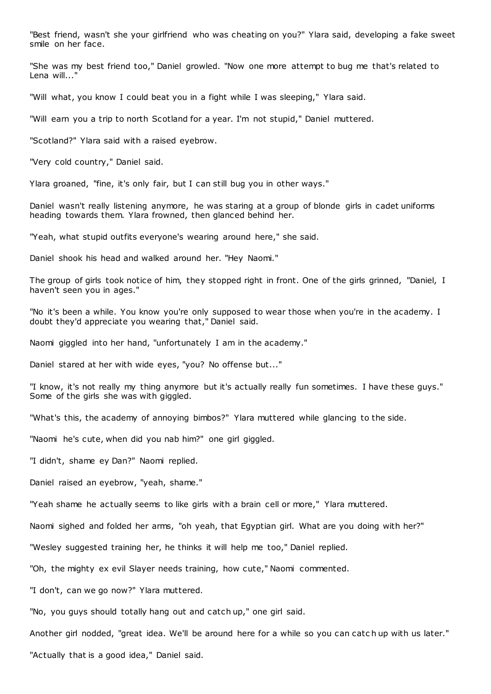"Best friend, wasn't she your girlfriend who was cheating on you?" Ylara said, developing a fake sweet smile on her face.

"She was my best friend too," Daniel growled. "Now one more attempt to bug me that's related to Lena will..."

"Will what, you know I could beat you in a fight while I was sleeping," Ylara said.

"Will earn you a trip to north Scotland for a year. I'm not stupid," Daniel muttered.

"Scotland?" Ylara said with a raised eyebrow.

"Very cold country," Daniel said.

Ylara groaned, "fine, it's only fair, but I can still bug you in other ways."

Daniel wasn't really listening anymore, he was staring at a group of blonde girls in cadet uniforms heading towards them. Ylara frowned, then glanced behind her.

"Yeah, what stupid outfits everyone's wearing around here," she said.

Daniel shook his head and walked around her. "Hey Naomi."

The group of girls took notice of him, they stopped right in front. One of the girls grinned, "Daniel, I haven't seen you in ages."

"No it's been a while. You know you're only supposed to wear those when you're in the academy. I doubt they'd appreciate you wearing that," Daniel said.

Naomi giggled into her hand, "unfortunately I am in the academy."

Daniel stared at her with wide eyes, "you? No offense but..."

"I know, it's not really my thing anymore but it's actually really fun sometimes. I have these guys." Some of the girls she was with giggled.

"What's this, the academy of annoying bimbos?" Ylara muttered while glancing to the side.

"Naomi he's cute, when did you nab him?" one girl giggled.

"I didn't, shame ey Dan?" Naomi replied.

Daniel raised an eyebrow, "yeah, shame."

"Yeah shame he actually seems to like girls with a brain cell or more," Ylara muttered.

Naomi sighed and folded her arms, "oh yeah, that Egyptian girl. What are you doing with her?"

"Wesley suggested training her, he thinks it will help me too," Daniel replied.

"Oh, the mighty ex evil Slayer needs training, how cute," Naomi commented.

"I don't, can we go now?" Ylara muttered.

"No, you guys should totally hang out and catch up," one girl said.

Another girl nodded, "great idea. We'll be around here for a while so you can catc h up with us later."

"Actually that is a good idea," Daniel said.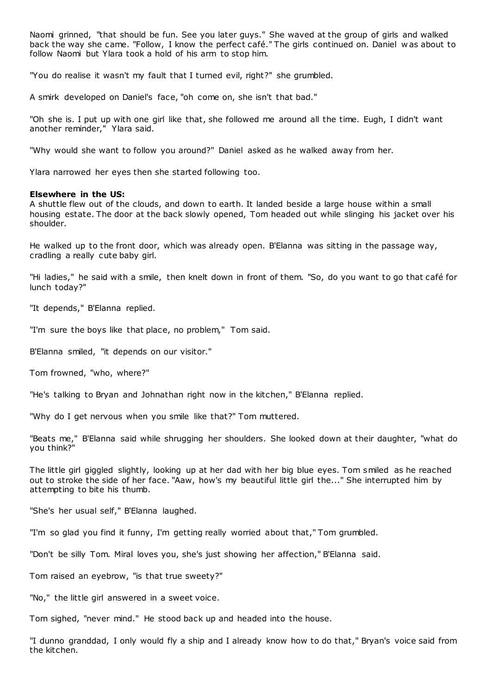Naomi grinned, "that should be fun. See you later guys." She waved at the group of girls and walked back the way she came. "Follow, I know the perfect café." The girls continued on. Daniel w as about to follow Naomi but Ylara took a hold of his arm to stop him.

"You do realise it wasn't my fault that I turned evil, right?" she grumbled.

A smirk developed on Daniel's face, "oh come on, she isn't that bad."

"Oh she is. I put up with one girl like that, she followed me around all the time. Eugh, I didn't want another reminder," Ylara said.

"Why would she want to follow you around?" Daniel asked as he walked away from her.

Ylara narrowed her eyes then she started following too.

# **Elsewhere in the US:**

A shuttle flew out of the clouds, and down to earth. It landed beside a large house within a small housing estate. The door at the back slowly opened, Tom headed out while slinging his jacket over his shoulder.

He walked up to the front door, which was already open. B'Elanna was sitting in the passage way, cradling a really cute baby girl.

"Hi ladies," he said with a smile, then knelt down in front of them. "So, do you want to go that café for lunch today?"

"It depends," B'Elanna replied.

"I'm sure the boys like that place, no problem," Tom said.

B'Elanna smiled, "it depends on our visitor."

Tom frowned, "who, where?"

"He's talking to Bryan and Johnathan right now in the kitchen," B'Elanna replied.

"Why do I get nervous when you smile like that?" Tom muttered.

"Beats me," B'Elanna said while shrugging her shoulders. She looked down at their daughter, "what do you think?"

The little girl giggled slightly, looking up at her dad with her big blue eyes. Tom smiled as he reached out to stroke the side of her face. "Aaw, how's my beautiful little girl the..." She interrupted him by attempting to bite his thumb.

"She's her usual self," B'Elanna laughed.

"I'm so glad you find it funny, I'm getting really worried about that," Tom grumbled.

"Don't be silly Tom. Miral loves you, she's just showing her affection," B'Elanna said.

Tom raised an eyebrow, "is that true sweety?"

"No," the little girl answered in a sweet voice.

Tom sighed, "never mind." He stood back up and headed into the house.

"I dunno granddad, I only would fly a ship and I already know how to do that," Bryan's voice said from the kitchen.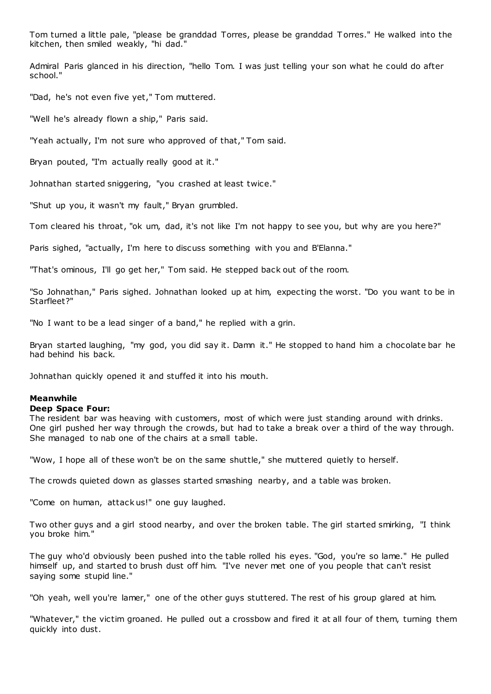Tom turned a little pale, "please be granddad Torres, please be granddad T orres." He walked into the kitchen, then smiled weakly, "hi dad."

Admiral Paris glanced in his direction, "hello Tom. I was just telling your son what he could do after school."

"Dad, he's not even five yet," Tom muttered.

"Well he's already flown a ship," Paris said.

"Yeah actually, I'm not sure who approved of that," Tom said.

Bryan pouted, "I'm actually really good at it."

Johnathan started sniggering, "you crashed at least twice."

"Shut up you, it wasn't my fault," Bryan grumbled.

Tom cleared his throat, "ok um, dad, it's not like I'm not happy to see you, but why are you here?"

Paris sighed, "actually, I'm here to discuss something with you and B'Elanna."

"That's ominous, I'll go get her," Tom said. He stepped back out of the room.

"So Johnathan," Paris sighed. Johnathan looked up at him, expecting the worst. "Do you want to be in Starfleet?"

"No I want to be a lead singer of a band," he replied with a grin.

Bryan started laughing, "my god, you did say it. Damn it." He stopped to hand him a chocolate bar he had behind his back.

Johnathan quickly opened it and stuffed it into his mouth.

## **Meanwhile**

### **Deep Space Four:**

The resident bar was heaving with customers, most of which were just standing around with drinks. One girl pushed her way through the crowds, but had to take a break over a third of the way through. She managed to nab one of the chairs at a small table.

"Wow, I hope all of these won't be on the same shuttle," she muttered quietly to herself.

The crowds quieted down as glasses started smashing nearby, and a table was broken.

"Come on human, attack us!" one guy laughed.

Two other guys and a girl stood nearby, and over the broken table. The girl started smirking, "I think you broke him."

The guy who'd obviously been pushed into the table rolled his eyes. "God, you're so lame." He pulled himself up, and started to brush dust off him. "I've never met one of you people that can't resist saying some stupid line."

"Oh yeah, well you're lamer," one of the other guys stuttered. The rest of his group glared at him.

"Whatever," the victim groaned. He pulled out a crossbow and fired it at all four of them, turning them quickly into dust.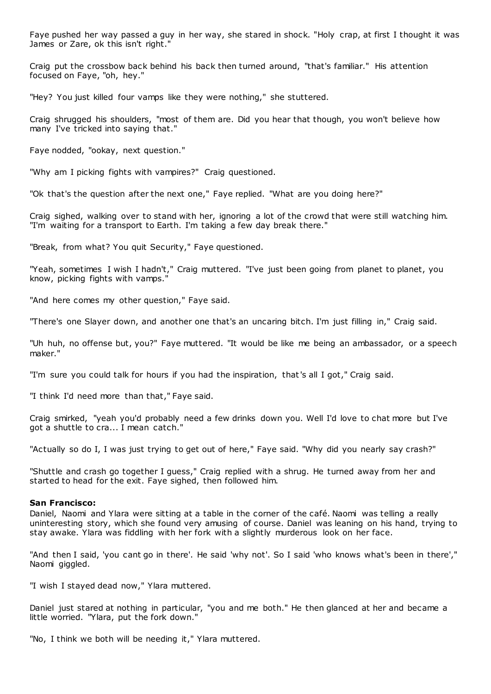Faye pushed her way passed a guy in her way, she stared in shock. "Holy crap, at first I thought it was James or Zare, ok this isn't right."

Craig put the crossbow back behind his back then turned around, "that's familiar." His attention focused on Faye, "oh, hey."

"Hey? You just killed four vamps like they were nothing," she stuttered.

Craig shrugged his shoulders, "most of them are. Did you hear that though, you won't believe how many I've tricked into saying that."

Faye nodded, "ookay, next question."

"Why am I picking fights with vampires?" Craig questioned.

"Ok that's the question after the next one," Faye replied. "What are you doing here?"

Craig sighed, walking over to stand with her, ignoring a lot of the crowd that were still watching him. "I'm waiting for a transport to Earth. I'm taking a few day break there."

"Break, from what? You quit Security," Faye questioned.

"Yeah, sometimes I wish I hadn't," Craig muttered. "I've just been going from planet to planet, you know, picking fights with vamps."

"And here comes my other question," Faye said.

"There's one Slayer down, and another one that's an uncaring bitch. I'm just filling in," Craig said.

"Uh huh, no offense but, you?" Faye muttered. "It would be like me being an ambassador, or a speech maker."

"I'm sure you could talk for hours if you had the inspiration, that's all I got," Craig said.

"I think I'd need more than that," Faye said.

Craig smirked, "yeah you'd probably need a few drinks down you. Well I'd love to chat more but I've got a shuttle to cra... I mean catch."

"Actually so do I, I was just trying to get out of here," Faye said. "Why did you nearly say crash?"

"Shuttle and crash go together I guess," Craig replied with a shrug. He turned away from her and started to head for the exit. Faye sighed, then followed him.

## **San Francisco:**

Daniel, Naomi and Ylara were sitting at a table in the corner of the café. Naomi was telling a really uninteresting story, which she found very amusing of course. Daniel was leaning on his hand, trying to stay awake. Ylara was fiddling with her fork with a slightly murderous look on her face.

"And then I said, 'you cant go in there'. He said 'why not'. So I said 'who knows what's been in there'," Naomi giggled.

"I wish I stayed dead now," Ylara muttered.

Daniel just stared at nothing in particular, "you and me both." He then glanced at her and became a little worried. "Ylara, put the fork down."

"No, I think we both will be needing it," Ylara muttered.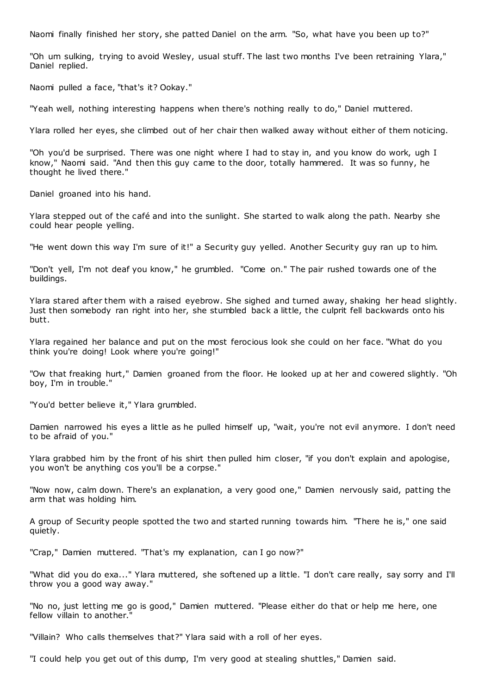Naomi finally finished her story, she patted Daniel on the arm. "So, what have you been up to?"

"Oh um sulking, trying to avoid Wesley, usual stuff. The last two months I've been retraining Ylara," Daniel replied.

Naomi pulled a face, "that's it? Ookay."

"Yeah well, nothing interesting happens when there's nothing really to do," Daniel muttered.

Ylara rolled her eyes, she climbed out of her chair then walked away without either of them noticing.

"Oh you'd be surprised. There was one night where I had to stay in, and you know do work, ugh I know," Naomi said. "And then this guy came to the door, totally hammered. It was so funny, he thought he lived there."

Daniel groaned into his hand.

Ylara stepped out of the café and into the sunlight. She started to walk along the path. Nearby she could hear people yelling.

"He went down this way I'm sure of it!" a Security guy yelled. Another Security guy ran up to him.

"Don't yell, I'm not deaf you know," he grumbled. "Come on." The pair rushed towards one of the buildings.

Ylara stared after them with a raised eyebrow. She sighed and turned away, shaking her head slightly. Just then somebody ran right into her, she stumbled back a little, the culprit fell backwards onto his butt.

Ylara regained her balance and put on the most ferocious look she could on her face. "What do you think you're doing! Look where you're going!"

"Ow that freaking hurt," Damien groaned from the floor. He looked up at her and cowered slightly. "Oh boy, I'm in trouble."

"You'd better believe it," Ylara grumbled.

Damien narrowed his eyes a little as he pulled himself up, "wait, you're not evil anymore. I don't need to be afraid of you."

Ylara grabbed him by the front of his shirt then pulled him closer, "if you don't explain and apologise, you won't be anything cos you'll be a corpse."

"Now now, calm down. There's an explanation, a very good one," Damien nervously said, patting the arm that was holding him.

A group of Security people spotted the two and started running towards him. "There he is," one said quietly.

"Crap," Damien muttered. "That's my explanation, can I go now?"

"What did you do exa..." Ylara muttered, she softened up a little. "I don't care really, say sorry and I'll throw you a good way away."

"No no, just letting me go is good," Damien muttered. "Please either do that or help me here, one fellow villain to another."

"Villain? Who calls themselves that?" Ylara said with a roll of her eyes.

"I could help you get out of this dump, I'm very good at stealing shuttles," Damien said.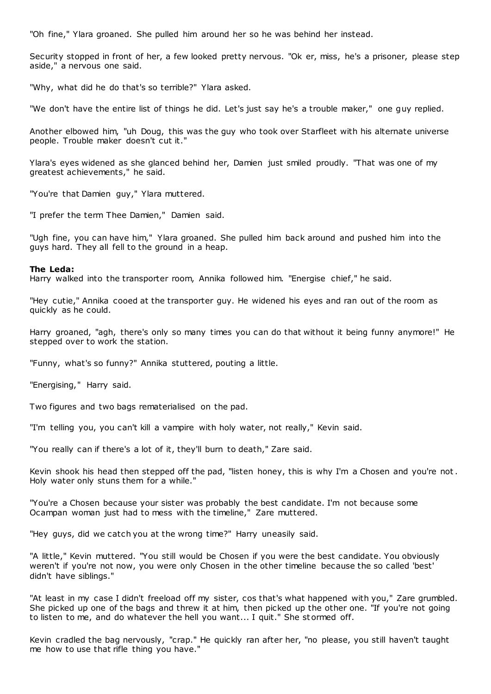"Oh fine," Ylara groaned. She pulled him around her so he was behind her instead.

Security stopped in front of her, a few looked pretty nervous. "Ok er, miss, he's a prisoner, please step aside," a nervous one said.

"Why, what did he do that's so terrible?" Ylara asked.

"We don't have the entire list of things he did. Let's just say he's a trouble maker," one guy replied.

Another elbowed him, "uh Doug, this was the guy who took over Starfleet with his alternate universe people. Trouble maker doesn't cut it."

Ylara's eyes widened as she glanced behind her, Damien just smiled proudly. "That was one of my greatest achievements," he said.

"You're that Damien guy," Ylara muttered.

"I prefer the term Thee Damien," Damien said.

"Ugh fine, you can have him," Ylara groaned. She pulled him back around and pushed him into the guys hard. They all fell to the ground in a heap.

#### **The Leda:**

Harry walked into the transporter room, Annika followed him. "Energise chief," he said.

"Hey cutie," Annika cooed at the transporter guy. He widened his eyes and ran out of the room as quickly as he could.

Harry groaned, "agh, there's only so many times you can do that without it being funny anymore!" He stepped over to work the station.

"Funny, what's so funny?" Annika stuttered, pouting a little.

"Energising," Harry said.

Two figures and two bags rematerialised on the pad.

"I'm telling you, you can't kill a vampire with holy water, not really," Kevin said.

"You really can if there's a lot of it, they'll burn to death," Zare said.

Kevin shook his head then stepped off the pad, "listen honey, this is why I'm a Chosen and you're not . Holy water only stuns them for a while."

"You're a Chosen because your sister was probably the best candidate. I'm not because some Ocampan woman just had to mess with the timeline," Zare muttered.

"Hey guys, did we catch you at the wrong time?" Harry uneasily said.

"A little," Kevin muttered. "You still would be Chosen if you were the best candidate. You obviously weren't if you're not now, you were only Chosen in the other timeline because the so called 'best' didn't have siblings."

"At least in my case I didn't freeload off my sister, cos that's what happened with you," Zare grumbled. She picked up one of the bags and threw it at him, then picked up the other one. "If you're not going to listen to me, and do whatever the hell you want... I quit." She stormed off.

Kevin cradled the bag nervously, "crap." He quickly ran after her, "no please, you still haven't taught me how to use that rifle thing you have."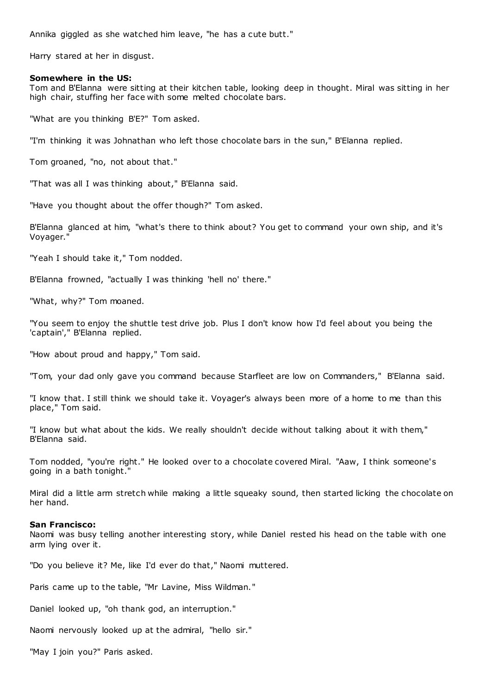Annika giggled as she watched him leave, "he has a cute butt."

Harry stared at her in disgust.

## **Somewhere in the US:**

Tom and B'Elanna were sitting at their kitchen table, looking deep in thought. Miral was sitting in her high chair, stuffing her face with some melted chocolate bars.

"What are you thinking B'E?" Tom asked.

"I'm thinking it was Johnathan who left those chocolate bars in the sun," B'Elanna replied.

Tom groaned, "no, not about that."

"That was all I was thinking about," B'Elanna said.

"Have you thought about the offer though?" Tom asked.

B'Elanna glanced at him, "what's there to think about? You get to command your own ship, and it's Voyager."

"Yeah I should take it," Tom nodded.

B'Elanna frowned, "actually I was thinking 'hell no' there."

"What, why?" Tom moaned.

"You seem to enjoy the shuttle test drive job. Plus I don't know how I'd feel about you being the 'captain'," B'Elanna replied.

"How about proud and happy," Tom said.

"Tom, your dad only gave you command because Starfleet are low on Commanders," B'Elanna said.

"I know that. I still think we should take it. Voyager's always been more of a home to me than this place," Tom said.

"I know but what about the kids. We really shouldn't decide without talking about it with them," B'Elanna said.

Tom nodded, "you're right." He looked over to a chocolate covered Miral. "Aaw, I think someone's going in a bath tonight."

Miral did a little arm stretch while making a little squeaky sound, then started licking the chocolate on her hand.

### **San Francisco:**

Naomi was busy telling another interesting story, while Daniel rested his head on the table with one arm lying over it.

"Do you believe it? Me, like I'd ever do that," Naomi muttered.

Paris came up to the table, "Mr Lavine, Miss Wildman."

Daniel looked up, "oh thank god, an interruption."

Naomi nervously looked up at the admiral, "hello sir."

"May I join you?" Paris asked.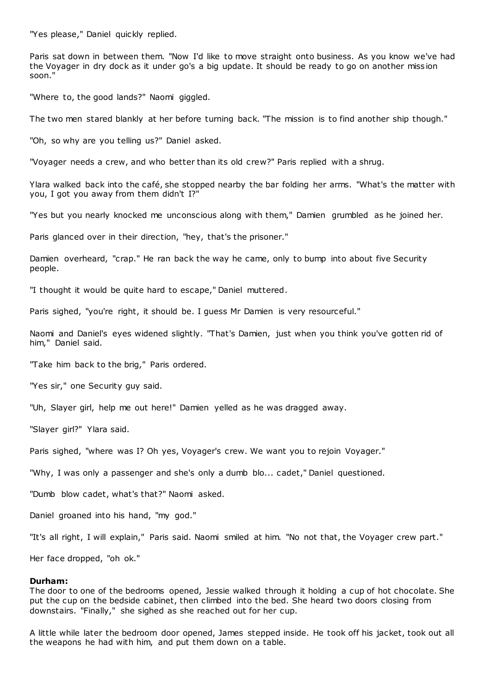"Yes please," Daniel quickly replied.

Paris sat down in between them. "Now I'd like to move straight onto business. As you know we've had the Voyager in dry dock as it under go's a big update. It should be ready to go on another miss ion soon."

"Where to, the good lands?" Naomi giggled.

The two men stared blankly at her before turning back. "The mission is to find another ship though."

"Oh, so why are you telling us?" Daniel asked.

"Voyager needs a crew, and who better than its old crew?" Paris replied with a shrug.

Ylara walked back into the café, she stopped nearby the bar folding her arms. "What's the matter with you, I got you away from them didn't I?"

"Yes but you nearly knocked me unconscious along with them," Damien grumbled as he joined her.

Paris glanced over in their direction, "hey, that's the prisoner."

Damien overheard, "crap." He ran back the way he came, only to bump into about five Security people.

"I thought it would be quite hard to escape," Daniel muttered.

Paris sighed, "you're right, it should be. I guess Mr Damien is very resourceful."

Naomi and Daniel's eyes widened slightly. "That's Damien, just when you think you've gotten rid of him," Daniel said.

"Take him back to the brig," Paris ordered.

"Yes sir," one Security guy said.

"Uh, Slayer girl, help me out here!" Damien yelled as he was dragged away.

"Slayer girl?" Ylara said.

Paris sighed, "where was I? Oh yes, Voyager's crew. We want you to rejoin Voyager."

"Why, I was only a passenger and she's only a dumb blo... cadet," Daniel questioned.

"Dumb blow cadet, what's that?" Naomi asked.

Daniel groaned into his hand, "my god."

"It's all right, I will explain," Paris said. Naomi smiled at him. "No not that, the Voyager crew part."

Her face dropped, "oh ok."

## **Durham:**

The door to one of the bedrooms opened, Jessie walked through it holding a cup of hot chocolate. She put the cup on the bedside cabinet, then climbed into the bed. She heard two doors closing from downstairs. "Finally," she sighed as she reached out for her cup.

A little while later the bedroom door opened, James stepped inside. He took off his jacket, took out all the weapons he had with him, and put them down on a table.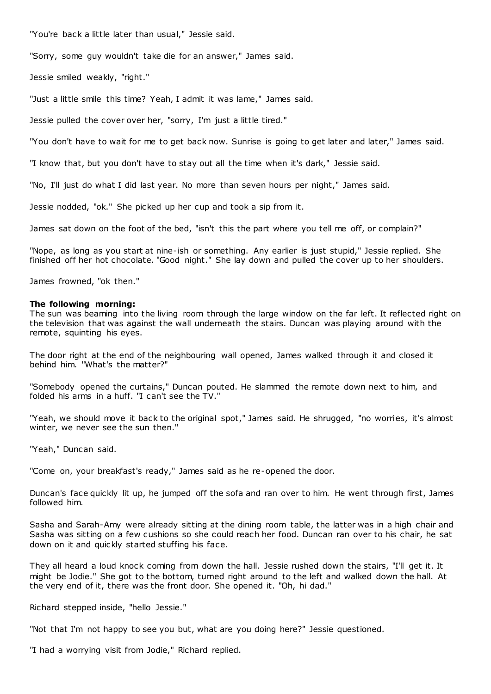"You're back a little later than usual," Jessie said.

"Sorry, some guy wouldn't take die for an answer," James said.

Jessie smiled weakly, "right."

"Just a little smile this time? Yeah, I admit it was lame," James said.

Jessie pulled the cover over her, "sorry, I'm just a little tired."

"You don't have to wait for me to get back now. Sunrise is going to get later and later," James said.

"I know that, but you don't have to stay out all the time when it's dark," Jessie said.

"No, I'll just do what I did last year. No more than seven hours per night," James said.

Jessie nodded, "ok." She picked up her cup and took a sip from it.

James sat down on the foot of the bed, "isn't this the part where you tell me off, or complain?"

"Nope, as long as you start at nine-ish or something. Any earlier is just stupid," Jessie replied. She finished off her hot chocolate. "Good night." She lay down and pulled the cover up to her shoulders.

James frowned, "ok then."

### **The following morning:**

The sun was beaming into the living room through the large window on the far left. It reflected right on the television that was against the wall underneath the stairs. Duncan was playing around with the remote, squinting his eyes.

The door right at the end of the neighbouring wall opened, James walked through it and closed it behind him. "What's the matter?"

"Somebody opened the curtains," Duncan pouted. He slammed the remote down next to him, and folded his arms in a huff. "I can't see the TV."

"Yeah, we should move it back to the original spot," James said. He shrugged, "no worries, it's almost winter, we never see the sun then."

"Yeah," Duncan said.

"Come on, your breakfast's ready," James said as he re-opened the door.

Duncan's face quickly lit up, he jumped off the sofa and ran over to him. He went through first, James followed him.

Sasha and Sarah-Amy were already sitting at the dining room table, the latter was in a high chair and Sasha was sitting on a few cushions so she could reach her food. Duncan ran over to his chair, he sat down on it and quickly started stuffing his face.

They all heard a loud knock coming from down the hall. Jessie rushed down the stairs, "I'll get it. It might be Jodie." She got to the bottom, turned right around to the left and walked down the hall. At the very end of it, there was the front door. She opened it. "Oh, hi dad."

Richard stepped inside, "hello Jessie."

"Not that I'm not happy to see you but, what are you doing here?" Jessie questioned.

"I had a worrying visit from Jodie," Richard replied.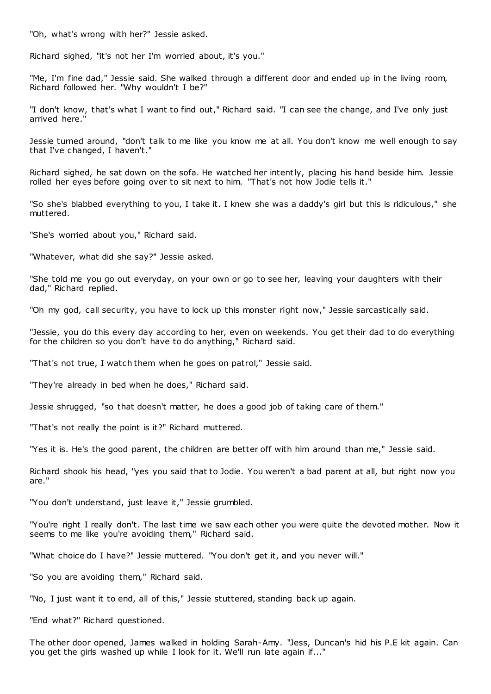"Oh, what's wrong with her?" Jessie asked.

Richard sighed, "it's not her I'm worried about, it's you."

"Me, I'm fine dad," Jessie said. She walked through a different door and ended up in the living room, Richard followed her. "Why wouldn't I be?"

"I don't know, that's what I want to find out," Richard said. "I can see the change, and I've only just arrived here."

Jessie turned around, "don't talk to me like you know me at all. You don't know me well enough to say that I've changed, I haven't."

Richard sighed, he sat down on the sofa. He watched her intently, placing his hand beside him. Jessie rolled her eyes before going over to sit next to him. "That's not how Jodie tells it."

"So she's blabbed everything to you, I take it. I knew she was a daddy's girl but this is ridiculous," she muttered.

"She's worried about you," Richard said.

"Whatever, what did she say?" Jessie asked.

"She told me you go out everyday, on your own or go to see her, leaving your daughters with their dad," Richard replied.

"Oh my god, call security, you have to lock up this monster right now," Jessie sarcastically said.

"Jessie, you do this every day according to her, even on weekends. You get their dad to do everything for the children so you don't have to do anything," Richard said.

"That's not true, I watch them when he goes on patrol," Jessie said.

"They're already in bed when he does," Richard said.

Jessie shrugged, "so that doesn't matter, he does a good job of taking care of them."

"That's not really the point is it?" Richard muttered.

"Yes it is. He's the good parent, the children are better off with him around than me," Jessie said.

Richard shook his head, "yes you said that to Jodie. You weren't a bad parent at all, but right now you are."

"You don't understand, just leave it," Jessie grumbled.

"You're right I really don't. The last time we saw each other you were quite the devoted mother. Now it seems to me like you're avoiding them," Richard said.

"What choice do I have?" Jessie muttered. "You don't get it, and you never will."

"So you are avoiding them," Richard said.

"No, I just want it to end, all of this," Jessie stuttered, standing back up again.

"End what?" Richard questioned.

The other door opened, James walked in holding Sarah-Amy. "Jess, Duncan's hid his P.E kit again. Can you get the girls washed up while I look for it. We'll run late again if..."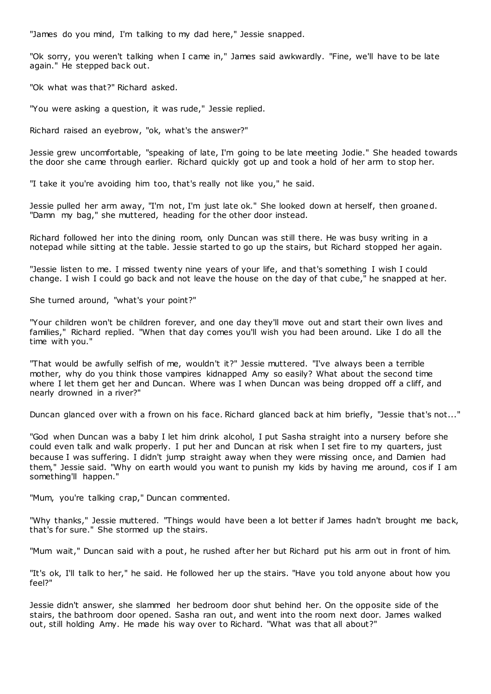"James do you mind, I'm talking to my dad here," Jessie snapped.

"Ok sorry, you weren't talking when I came in," James said awkwardly. "Fine, we'll have to be late again." He stepped back out.

"Ok what was that?" Richard asked.

"You were asking a question, it was rude," Jessie replied.

Richard raised an eyebrow, "ok, what's the answer?"

Jessie grew uncomfortable, "speaking of late, I'm going to be late meeting Jodie." She headed towards the door she came through earlier. Richard quickly got up and took a hold of her arm to stop her.

"I take it you're avoiding him too, that's really not like you," he said.

Jessie pulled her arm away, "I'm not, I'm just late ok." She looked down at herself, then groaned. "Damn my bag," she muttered, heading for the other door instead.

Richard followed her into the dining room, only Duncan was still there. He was busy writing in a notepad while sitting at the table. Jessie started to go up the stairs, but Richard stopped her again.

"Jessie listen to me. I missed twenty nine years of your life, and that's something I wish I could change. I wish I could go back and not leave the house on the day of that cube," he snapped at her.

She turned around, "what's your point?"

"Your children won't be children forever, and one day they'll move out and start their own lives and families," Richard replied. "When that day comes you'll wish you had been around. Like I do all the time with you."

"That would be awfully selfish of me, wouldn't it?" Jessie muttered. "I've always been a terrible mother, why do you think those vampires kidnapped Amy so easily? What about the second time where I let them get her and Duncan. Where was I when Duncan was being dropped off a cliff, and nearly drowned in a river?"

Duncan glanced over with a frown on his face. Richard glanced back at him briefly, "Jessie that's not..."

"God when Duncan was a baby I let him drink alcohol, I put Sasha straight into a nursery before she could even talk and walk properly. I put her and Duncan at risk when I set fire to my quarters, just because I was suffering. I didn't jump straight away when they were missing once, and Damien had them," Jessie said. "Why on earth would you want to punish my kids by having me around, cos if I am something'll happen."

"Mum, you're talking crap," Duncan commented.

"Why thanks," Jessie muttered. "Things would have been a lot better if James hadn't brought me back, that's for sure." She stormed up the stairs.

"Mum wait," Duncan said with a pout, he rushed after her but Richard put his arm out in front of him.

"It's ok, I'll talk to her," he said. He followed her up the stairs. "Have you told anyone about how you feel?"

Jessie didn't answer, she slammed her bedroom door shut behind her. On the opposite side of the stairs, the bathroom door opened. Sasha ran out, and went into the room next door. James walked out, still holding Amy. He made his way over to Richard. "What was that all about?"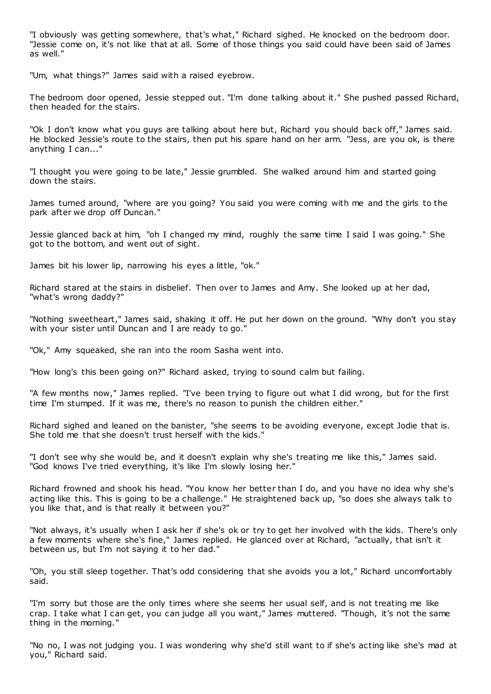"I obviously was getting somewhere, that's what," Richard sighed. He knocked on the bedroom door. "Jessie come on, it's not like that at all. Some of those things you said could have been said of James as well."

"Um, what things?" James said with a raised eyebrow.

The bedroom door opened, Jessie stepped out. "I'm done talking about it." She pushed passed Richard, then headed for the stairs.

"Ok I don't know what you guys are talking about here but, Richard you should back off," James said. He blocked Jessie's route to the stairs, then put his spare hand on her arm. "Jess, are you ok, is there anything I can..."

"I thought you were going to be late," Jessie grumbled. She walked around him and started going down the stairs.

James turned around, "where are you going? You said you were coming with me and the girls to the park after we drop off Duncan."

Jessie glanced back at him, "oh I changed my mind, roughly the same time I said I was going." She got to the bottom, and went out of sight.

James bit his lower lip, narrowing his eyes a little, "ok."

Richard stared at the stairs in disbelief. Then over to James and Amy. She looked up at her dad, "what's wrong daddy?"

"Nothing sweetheart," James said, shaking it off. He put her down on the ground. "Why don't you stay with your sister until Duncan and I are ready to go.'

"Ok," Amy squeaked, she ran into the room Sasha went into.

"How long's this been going on?" Richard asked, trying to sound calm but failing.

"A few months now," James replied. "I've been trying to figure out what I did wrong, but for the first time I'm stumped. If it was me, there's no reason to punish the children either."

Richard sighed and leaned on the banister, "she seems to be avoiding everyone, except Jodie that is. She told me that she doesn't trust herself with the kids."

"I don't see why she would be, and it doesn't explain why she's treating me like this," James said. "God knows I've tried everything, it's like I'm slowly losing her."

Richard frowned and shook his head. "You know her better than I do, and you have no idea why she's acting like this. This is going to be a challenge." He straightened back up, "so does she always talk to you like that, and is that really it between you?"

"Not always, it's usually when I ask her if she's ok or try to get her involved with the kids. There's only a few moments where she's fine," James replied. He glanced over at Richard, "actually, that isn't it between us, but I'm not saying it to her dad."

"Oh, you still sleep together. That's odd considering that she avoids you a lot," Richard uncomfortably said.

"I'm sorry but those are the only times where she seems her usual self, and is not treating me like crap. I take what I can get, you can judge all you want," James muttered. "Though, it's not the same thing in the morning."

"No no, I was not judging you. I was wondering why she'd still want to if she's acting like she's mad at you," Richard said.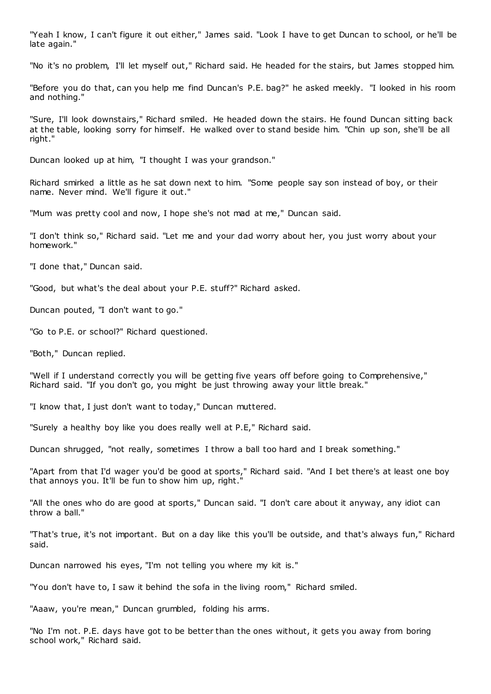"Yeah I know, I can't figure it out either," James said. "Look I have to get Duncan to school, or he'll be late again."

"No it's no problem, I'll let myself out," Richard said. He headed for the stairs, but James stopped him.

"Before you do that, can you help me find Duncan's P.E. bag?" he asked meekly. "I looked in his room and nothing."

"Sure, I'll look downstairs," Richard smiled. He headed down the stairs. He found Duncan sitting back at the table, looking sorry for himself. He walked over to stand beside him. "Chin up son, she'll be all right."

Duncan looked up at him, "I thought I was your grandson."

Richard smirked a little as he sat down next to him. "Some people say son instead of boy, or their name. Never mind. We'll figure it out."

"Mum was pretty cool and now, I hope she's not mad at me," Duncan said.

"I don't think so," Richard said. "Let me and your dad worry about her, you just worry about your homework."

"I done that," Duncan said.

"Good, but what's the deal about your P.E. stuff?" Richard asked.

Duncan pouted, "I don't want to go."

"Go to P.E. or school?" Richard questioned.

"Both," Duncan replied.

"Well if I understand correctly you will be getting five years off before going to Comprehensive," Richard said. "If you don't go, you might be just throwing away your little break."

"I know that, I just don't want to today," Duncan muttered.

"Surely a healthy boy like you does really well at P.E," Richard said.

Duncan shrugged, "not really, sometimes I throw a ball too hard and I break something."

"Apart from that I'd wager you'd be good at sports," Richard said. "And I bet there's at least one boy that annoys you. It'll be fun to show him up, right."

"All the ones who do are good at sports," Duncan said. "I don't care about it anyway, any idiot can throw a ball."

"That's true, it's not important. But on a day like this you'll be outside, and that's always fun," Richard said.

Duncan narrowed his eyes, "I'm not telling you where my kit is."

"You don't have to, I saw it behind the sofa in the living room," Richard smiled.

"Aaaw, you're mean," Duncan grumbled, folding his arms.

"No I'm not. P.E. days have got to be better than the ones without, it gets you away from boring school work," Richard said.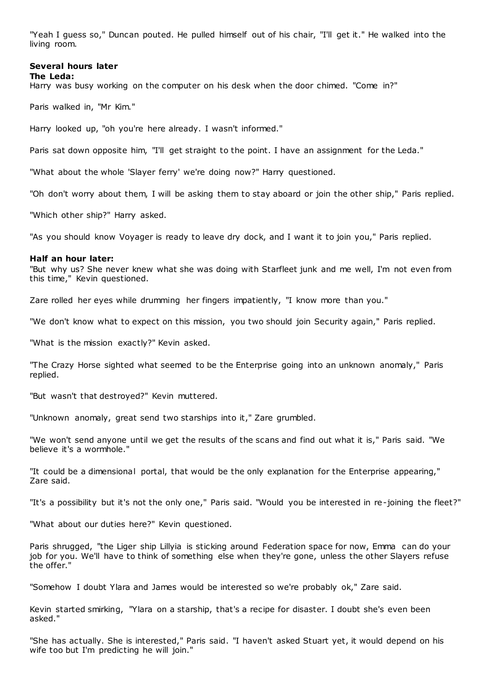"Yeah I guess so," Duncan pouted. He pulled himself out of his chair, "I'll get it." He walked into the living room.

#### **Several hours later The Leda:**

Harry was busy working on the computer on his desk when the door chimed. "Come in?"

Paris walked in, "Mr Kim."

Harry looked up, "oh you're here already. I wasn't informed."

Paris sat down opposite him, "I'll get straight to the point. I have an assignment for the Leda."

"What about the whole 'Slayer ferry' we're doing now?" Harry questioned.

"Oh don't worry about them, I will be asking them to stay aboard or join the other ship," Paris replied.

"Which other ship?" Harry asked.

"As you should know Voyager is ready to leave dry dock, and I want it to join you," Paris replied.

### **Half an hour later:**

"But why us? She never knew what she was doing with Starfleet junk and me well, I'm not even from this time," Kevin questioned.

Zare rolled her eyes while drumming her fingers impatiently, "I know more than you."

"We don't know what to expect on this mission, you two should join Security again," Paris replied.

"What is the mission exactly?" Kevin asked.

"The Crazy Horse sighted what seemed to be the Enterprise going into an unknown anomaly," Paris replied.

"But wasn't that destroyed?" Kevin muttered.

"Unknown anomaly, great send two starships into it," Zare grumbled.

"We won't send anyone until we get the results of the scans and find out what it is," Paris said. "We believe it's a wormhole."

"It could be a dimensional portal, that would be the only explanation for the Enterprise appearing," Zare said.

"It's a possibility but it's not the only one," Paris said. "Would you be interested in re-joining the fleet?"

"What about our duties here?" Kevin questioned.

Paris shrugged, "the Liger ship Lillyia is sticking around Federation space for now, Emma can do your job for you. We'll have to think of something else when they're gone, unless the other Slayers refuse the offer."

"Somehow I doubt Ylara and James would be interested so we're probably ok," Zare said.

Kevin started smirking, "Ylara on a starship, that's a recipe for disaster. I doubt she's even been asked."

"She has actually. She is interested," Paris said. "I haven't asked Stuart yet, it would depend on his wife too but I'm predicting he will join."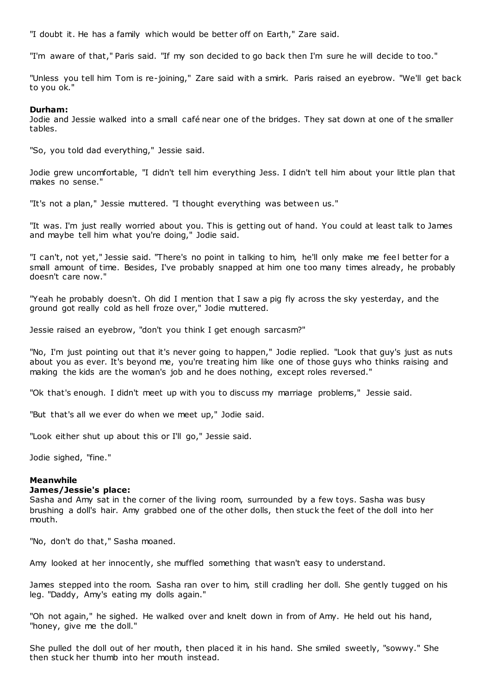"I doubt it. He has a family which would be better off on Earth," Zare said.

"I'm aware of that," Paris said. "If my son decided to go back then I'm sure he will decide to too."

"Unless you tell him Tom is re-joining," Zare said with a smirk. Paris raised an eyebrow. "We'll get back to you ok."

# **Durham:**

Jodie and Jessie walked into a small café near one of the bridges. They sat down at one of t he smaller tables.

"So, you told dad everything," Jessie said.

Jodie grew uncomfortable, "I didn't tell him everything Jess. I didn't tell him about your little plan that makes no sense."

"It's not a plan," Jessie muttered. "I thought everything was between us."

"It was. I'm just really worried about you. This is getting out of hand. You could at least talk to James and maybe tell him what you're doing," Jodie said.

"I can't, not yet," Jessie said. "There's no point in talking to him, he'll only make me feel better for a small amount of time. Besides, I've probably snapped at him one too many times already, he probably doesn't care now."

"Yeah he probably doesn't. Oh did I mention that I saw a pig fly across the sky yesterday, and the ground got really cold as hell froze over," Jodie muttered.

Jessie raised an eyebrow, "don't you think I get enough sarcasm?"

"No, I'm just pointing out that it's never going to happen," Jodie replied. "Look that guy's just as nuts about you as ever. It's beyond me, you're treating him like one of those guys who thinks raising and making the kids are the woman's job and he does nothing, except roles reversed."

"Ok that's enough. I didn't meet up with you to discuss my marriage problems," Jessie said.

"But that's all we ever do when we meet up," Jodie said.

"Look either shut up about this or I'll go," Jessie said.

Jodie sighed, "fine."

# **Meanwhile**

# **James/Jessie's place:**

Sasha and Amy sat in the corner of the living room, surrounded by a few toys. Sasha was busy brushing a doll's hair. Amy grabbed one of the other dolls, then stuck the feet of the doll into her mouth.

"No, don't do that," Sasha moaned.

Amy looked at her innocently, she muffled something that wasn't easy to understand.

James stepped into the room. Sasha ran over to him, still cradling her doll. She gently tugged on his leg. "Daddy, Amy's eating my dolls again."

"Oh not again," he sighed. He walked over and knelt down in from of Amy. He held out his hand, "honey, give me the doll."

She pulled the doll out of her mouth, then placed it in his hand. She smiled sweetly, "sowwy." She then stuck her thumb into her mouth instead.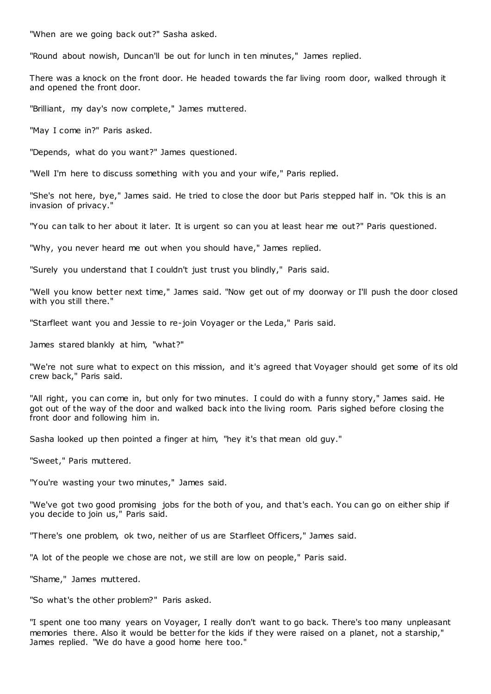"When are we going back out?" Sasha asked.

"Round about nowish, Duncan'll be out for lunch in ten minutes," James replied.

There was a knock on the front door. He headed towards the far living room door, walked through it and opened the front door.

"Brilliant, my day's now complete," James muttered.

"May I come in?" Paris asked.

"Depends, what do you want?" James questioned.

"Well I'm here to discuss something with you and your wife," Paris replied.

"She's not here, bye," James said. He tried to close the door but Paris stepped half in. "Ok this is an invasion of privacy."

"You can talk to her about it later. It is urgent so can you at least hear me out?" Paris questioned.

"Why, you never heard me out when you should have," James replied.

"Surely you understand that I couldn't just trust you blindly," Paris said.

"Well you know better next time," James said. "Now get out of my doorway or I'll push the door closed with you still there."

"Starfleet want you and Jessie to re-join Voyager or the Leda," Paris said.

James stared blankly at him, "what?"

"We're not sure what to expect on this mission, and it's agreed that Voyager should get some of its old crew back," Paris said.

"All right, you can come in, but only for two minutes. I could do with a funny story," James said. He got out of the way of the door and walked back into the living room. Paris sighed before closing the front door and following him in.

Sasha looked up then pointed a finger at him, "hey it's that mean old guy."

"Sweet," Paris muttered.

"You're wasting your two minutes," James said.

"We've got two good promising jobs for the both of you, and that's each. You can go on either ship if you decide to join us," Paris said.

"There's one problem, ok two, neither of us are Starfleet Officers," James said.

"A lot of the people we chose are not, we still are low on people," Paris said.

"Shame," James muttered.

"So what's the other problem?" Paris asked.

"I spent one too many years on Voyager, I really don't want to go back. There's too many unpleasant memories there. Also it would be better for the kids if they were raised on a planet, not a starship," James replied. "We do have a good home here too."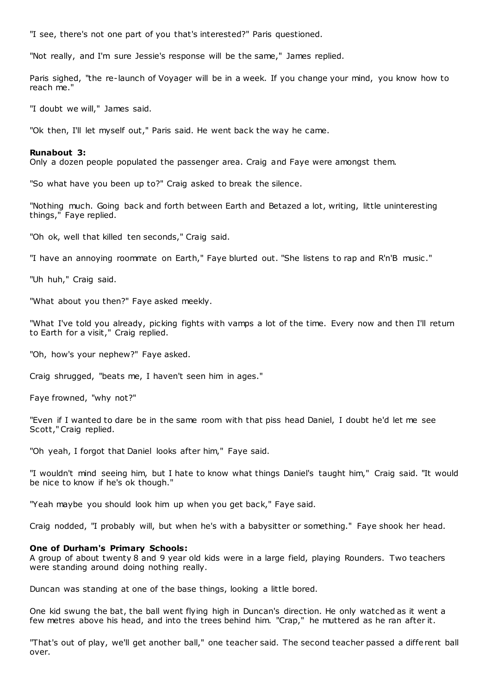"I see, there's not one part of you that's interested?" Paris questioned.

"Not really, and I'm sure Jessie's response will be the same," James replied.

Paris sighed, "the re-launch of Voyager will be in a week. If you change your mind, you know how to reach me."

"I doubt we will," James said.

"Ok then, I'll let myself out," Paris said. He went back the way he came.

# **Runabout 3:**

Only a dozen people populated the passenger area. Craig and Faye were amongst them.

"So what have you been up to?" Craig asked to break the silence.

"Nothing much. Going back and forth between Earth and Betazed a lot, writing, little uninteresting things," Faye replied.

"Oh ok, well that killed ten seconds," Craig said.

"I have an annoying roommate on Earth," Faye blurted out. "She listens to rap and R'n'B music ."

"Uh huh," Craig said.

"What about you then?" Faye asked meekly.

"What I've told you already, picking fights with vamps a lot of the time. Every now and then I'll return to Earth for a visit," Craig replied.

"Oh, how's your nephew?" Faye asked.

Craig shrugged, "beats me, I haven't seen him in ages."

Faye frowned, "why not?"

"Even if I wanted to dare be in the same room with that piss head Daniel, I doubt he'd let me see Scott," Craig replied.

"Oh yeah, I forgot that Daniel looks after him," Faye said.

"I wouldn't mind seeing him, but I hate to know what things Daniel's taught him," Craig said. "It would be nice to know if he's ok though."

"Yeah maybe you should look him up when you get back," Faye said.

Craig nodded, "I probably will, but when he's with a babysitter or something." Faye shook her head.

## **One of Durham's Primary Schools:**

A group of about twenty 8 and 9 year old kids were in a large field, playing Rounders. Two teachers were standing around doing nothing really.

Duncan was standing at one of the base things, looking a little bored.

One kid swung the bat, the ball went flying high in Duncan's direction. He only watched as it went a few metres above his head, and into the trees behind him. "Crap," he muttered as he ran after it.

"That's out of play, we'll get another ball," one teacher said. The second teacher passed a different ball over.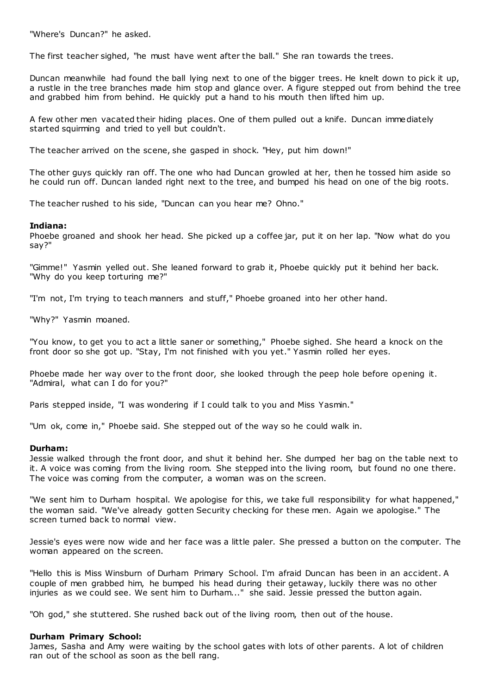"Where's Duncan?" he asked.

The first teacher sighed, "he must have went after the ball." She ran towards the trees.

Duncan meanwhile had found the ball lying next to one of the bigger trees. He knelt down to pick it up, a rustle in the tree branches made him stop and glance over. A figure stepped out from behind the tree and grabbed him from behind. He quickly put a hand to his mouth then lifted him up.

A few other men vacated their hiding places. One of them pulled out a knife. Duncan immediately started squirming and tried to yell but couldn't.

The teacher arrived on the scene, she gasped in shock. "Hey, put him down!"

The other guys quickly ran off. The one who had Duncan growled at her, then he tossed him aside so he could run off. Duncan landed right next to the tree, and bumped his head on one of the big roots.

The teacher rushed to his side, "Duncan can you hear me? Ohno."

# **Indiana:**

Phoebe groaned and shook her head. She picked up a coffee jar, put it on her lap. "Now what do you say?"

"Gimme!" Yasmin yelled out. She leaned forward to grab it, Phoebe quickly put it behind her back. "Why do you keep torturing me?"

"I'm not, I'm trying to teach manners and stuff," Phoebe groaned into her other hand.

"Why?" Yasmin moaned.

"You know, to get you to act a little saner or something," Phoebe sighed. She heard a knock on the front door so she got up. "Stay, I'm not finished with you yet." Yasmin rolled her eyes.

Phoebe made her way over to the front door, she looked through the peep hole before opening it. "Admiral, what can I do for you?"

Paris stepped inside, "I was wondering if I could talk to you and Miss Yasmin."

"Um ok, come in," Phoebe said. She stepped out of the way so he could walk in.

# **Durham:**

Jessie walked through the front door, and shut it behind her. She dumped her bag on the table next to it. A voice was coming from the living room. She stepped into the living room, but found no one there. The voice was coming from the computer, a woman was on the screen.

"We sent him to Durham hospital. We apologise for this, we take full responsibility for what happened," the woman said. "We've already gotten Security checking for these men. Again we apologise." The screen turned back to normal view.

Jessie's eyes were now wide and her face was a little paler. She pressed a button on the computer. The woman appeared on the screen.

"Hello this is Miss Winsburn of Durham Primary School. I'm afraid Duncan has been in an accident. A couple of men grabbed him, he bumped his head during their getaway, luckily there was no other injuries as we could see. We sent him to Durham..." she said. Jessie pressed the button again.

"Oh god," she stuttered. She rushed back out of the living room, then out of the house.

# **Durham Primary School:**

James, Sasha and Amy were waiting by the school gates with lots of other parents. A lot of children ran out of the school as soon as the bell rang.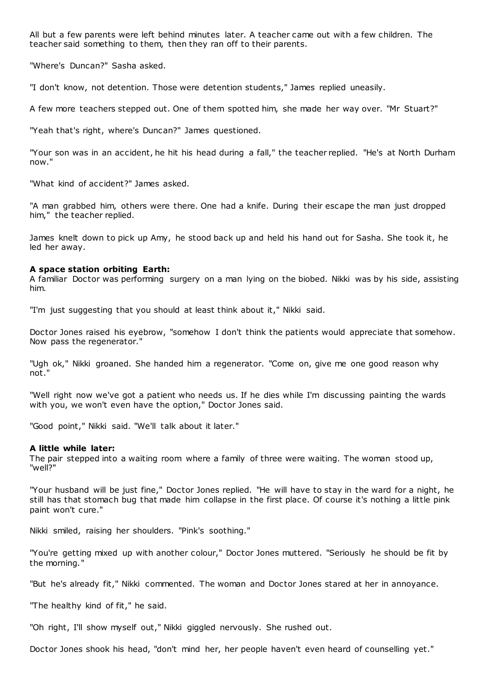All but a few parents were left behind minutes later. A teacher came out with a few children. The teacher said something to them, then they ran off to their parents.

"Where's Duncan?" Sasha asked.

"I don't know, not detention. Those were detention students," James replied uneasily.

A few more teachers stepped out. One of them spotted him, she made her way over. "Mr Stuart?"

"Yeah that's right, where's Duncan?" James questioned.

"Your son was in an accident, he hit his head during a fall," the teacher replied. "He's at North Durham now."

"What kind of accident?" James asked.

"A man grabbed him, others were there. One had a knife. During their escape the man just dropped him," the teacher replied.

James knelt down to pick up Amy, he stood back up and held his hand out for Sasha. She took it, he led her away.

## **A space station orbiting Earth:**

A familiar Doctor was performing surgery on a man lying on the biobed. Nikki was by his side, assisting him.

"I'm just suggesting that you should at least think about it," Nikki said.

Doctor Jones raised his eyebrow, "somehow I don't think the patients would appreciate that somehow. Now pass the regenerator."

"Ugh ok," Nikki groaned. She handed him a regenerator. "Come on, give me one good reason why not."

"Well right now we've got a patient who needs us. If he dies while I'm discussing painting the wards with you, we won't even have the option," Doctor Jones said.

"Good point," Nikki said. "We'll talk about it later."

# **A little while later:**

The pair stepped into a waiting room where a family of three were waiting. The woman stood up, "well?"

"Your husband will be just fine," Doctor Jones replied. "He will have to stay in the ward for a night, he still has that stomach bug that made him collapse in the first place. Of course it's nothing a little pink paint won't cure."

Nikki smiled, raising her shoulders. "Pink's soothing."

"You're getting mixed up with another colour," Doctor Jones muttered. "Seriously he should be fit by the morning."

"But he's already fit," Nikki commented. The woman and Doctor Jones stared at her in annoyance.

"The healthy kind of fit," he said.

"Oh right, I'll show myself out," Nikki giggled nervously. She rushed out.

Doctor Jones shook his head, "don't mind her, her people haven't even heard of counselling yet."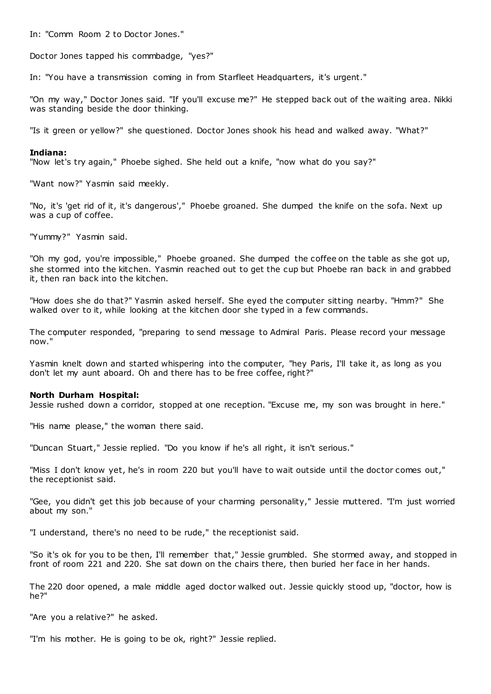In: "Comm Room 2 to Doctor Jones."

Doctor Jones tapped his commbadge, "yes?"

In: "You have a transmission coming in from Starfleet Headquarters, it's urgent."

"On my way," Doctor Jones said. "If you'll excuse me?" He stepped back out of the waiting area. Nikki was standing beside the door thinking.

"Is it green or yellow?" she questioned. Doctor Jones shook his head and walked away. "What?"

# **Indiana:**

"Now let's try again," Phoebe sighed. She held out a knife, "now what do you say?"

"Want now?" Yasmin said meekly.

"No, it's 'get rid of it, it's dangerous'," Phoebe groaned. She dumped the knife on the sofa. Next up was a cup of coffee.

"Yummy?" Yasmin said.

"Oh my god, you're impossible," Phoebe groaned. She dumped the coffee on the table as she got up, she stormed into the kitchen. Yasmin reached out to get the cup but Phoebe ran back in and grabbed it, then ran back into the kitchen.

"How does she do that?" Yasmin asked herself. She eyed the computer sitting nearby. "Hmm?" She walked over to it, while looking at the kitchen door she typed in a few commands.

The computer responded, "preparing to send message to Admiral Paris. Please record your message now."

Yasmin knelt down and started whispering into the computer, "hey Paris, I'll take it, as long as you don't let my aunt aboard. Oh and there has to be free coffee, right?"

### **North Durham Hospital:**

Jessie rushed down a corridor, stopped at one reception. "Excuse me, my son was brought in here."

"His name please," the woman there said.

"Duncan Stuart," Jessie replied. "Do you know if he's all right, it isn't serious."

"Miss I don't know yet, he's in room 220 but you'll have to wait outside until the doctor comes out," the receptionist said.

"Gee, you didn't get this job because of your charming personality," Jessie muttered. "I'm just worried about my son."

"I understand, there's no need to be rude," the receptionist said.

"So it's ok for you to be then, I'll remember that," Jessie grumbled. She stormed away, and stopped in front of room 221 and 220. She sat down on the chairs there, then buried her face in her hands.

The 220 door opened, a male middle aged doctor walked out. Jessie quickly stood up, "doctor, how is he?"

"Are you a relative?" he asked.

"I'm his mother. He is going to be ok, right?" Jessie replied.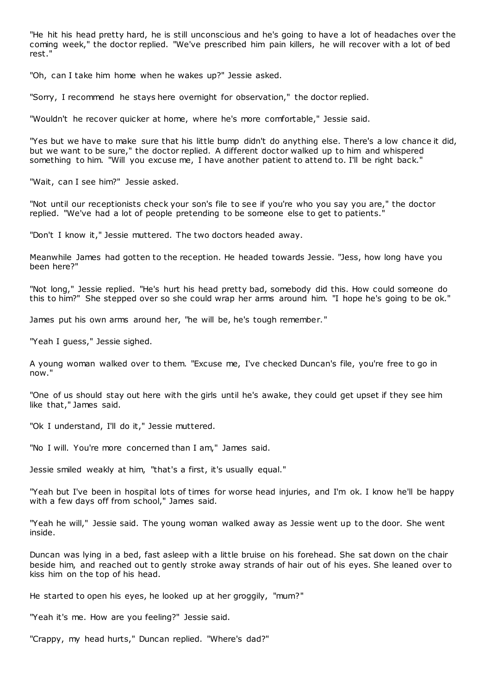"He hit his head pretty hard, he is still unconscious and he's going to have a lot of headaches over the coming week," the doctor replied. "We've prescribed him pain killers, he will recover with a lot of bed rest."

"Oh, can I take him home when he wakes up?" Jessie asked.

"Sorry, I recommend he stays here overnight for observation," the doctor replied.

"Wouldn't he recover quicker at home, where he's more comfortable," Jessie said.

"Yes but we have to make sure that his little bump didn't do anything else. There's a low chance it did, but we want to be sure," the doctor replied. A different doctor walked up to him and whispered something to him. "Will you excuse me, I have another patient to attend to. I'll be right back."

"Wait, can I see him?" Jessie asked.

"Not until our receptionists check your son's file to see if you're who you say you are," the doctor replied. "We've had a lot of people pretending to be someone else to get to patients."

"Don't I know it," Jessie muttered. The two doctors headed away.

Meanwhile James had gotten to the reception. He headed towards Jessie. "Jess, how long have you been here?"

"Not long," Jessie replied. "He's hurt his head pretty bad, somebody did this. How could someone do this to him?" She stepped over so she could wrap her arms around him. "I hope he's going to be ok."

James put his own arms around her, "he will be, he's tough remember."

"Yeah I guess," Jessie sighed.

A young woman walked over to them. "Excuse me, I've checked Duncan's file, you're free to go in now."

"One of us should stay out here with the girls until he's awake, they could get upset if they see him like that," James said.

"Ok I understand, I'll do it," Jessie muttered.

"No I will. You're more concerned than I am," James said.

Jessie smiled weakly at him, "that's a first, it's usually equal."

"Yeah but I've been in hospital lots of times for worse head injuries, and I'm ok. I know he'll be happy with a few days off from school," James said.

"Yeah he will," Jessie said. The young woman walked away as Jessie went up to the door. She went inside.

Duncan was lying in a bed, fast asleep with a little bruise on his forehead. She sat down on the chair beside him, and reached out to gently stroke away strands of hair out of his eyes. She leaned over to kiss him on the top of his head.

He started to open his eyes, he looked up at her groggily, "mum?"

"Yeah it's me. How are you feeling?" Jessie said.

"Crappy, my head hurts," Duncan replied. "Where's dad?"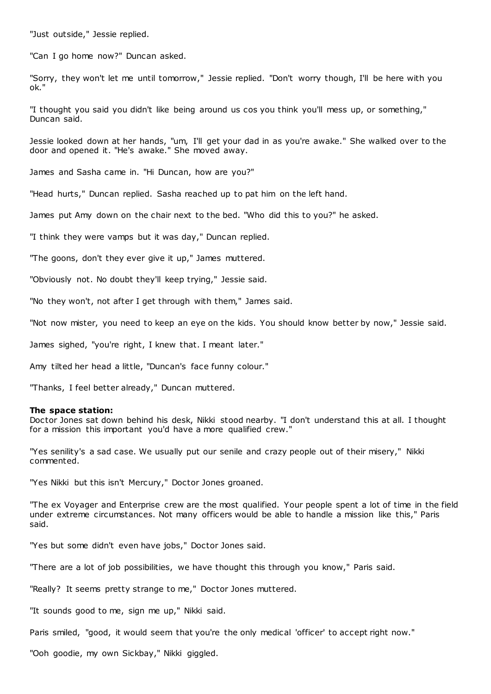"Just outside," Jessie replied.

"Can I go home now?" Duncan asked.

"Sorry, they won't let me until tomorrow," Jessie replied. "Don't worry though, I'll be here with you ok."

"I thought you said you didn't like being around us cos you think you'll mess up, or something," Duncan said.

Jessie looked down at her hands, "um, I'll get your dad in as you're awake." She walked over to the door and opened it. "He's awake." She moved away.

James and Sasha came in. "Hi Duncan, how are you?"

"Head hurts," Duncan replied. Sasha reached up to pat him on the left hand.

James put Amy down on the chair next to the bed. "Who did this to you?" he asked.

"I think they were vamps but it was day," Duncan replied.

"The goons, don't they ever give it up," James muttered.

"Obviously not. No doubt they'll keep trying," Jessie said.

"No they won't, not after I get through with them," James said.

"Not now mister, you need to keep an eye on the kids. You should know better by now," Jessie said.

James sighed, "you're right, I knew that. I meant later."

Amy tilted her head a little, "Duncan's face funny colour."

"Thanks, I feel better already," Duncan muttered.

### **The space station:**

Doctor Jones sat down behind his desk, Nikki stood nearby. "I don't understand this at all. I thought for a mission this important you'd have a more qualified crew."

"Yes senility's a sad case. We usually put our senile and crazy people out of their misery," Nikki commented.

"Yes Nikki but this isn't Mercury," Doctor Jones groaned.

"The ex Voyager and Enterprise crew are the most qualified. Your people spent a lot of time in the field under extreme circumstances. Not many officers would be able to handle a mission like this," Paris said.

"Yes but some didn't even have jobs," Doctor Jones said.

"There are a lot of job possibilities, we have thought this through you know," Paris said.

"Really? It seems pretty strange to me," Doctor Jones muttered.

"It sounds good to me, sign me up," Nikki said.

Paris smiled, "good, it would seem that you're the only medical 'officer' to accept right now."

"Ooh goodie, my own Sickbay," Nikki giggled.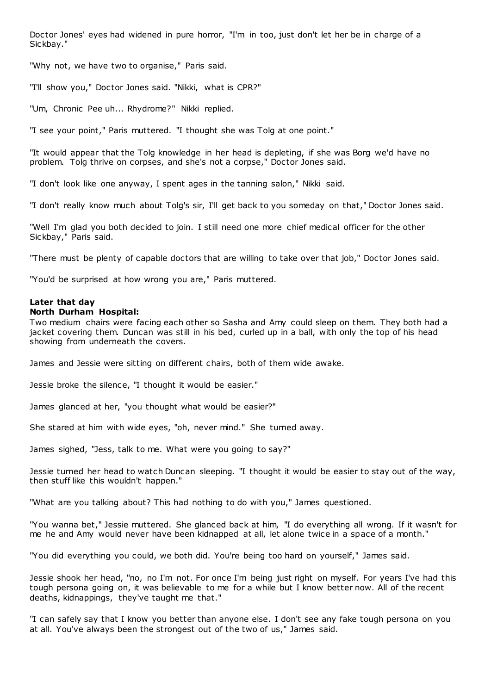Doctor Jones' eyes had widened in pure horror, "I'm in too, just don't let her be in charge of a Sickbay."

"Why not, we have two to organise," Paris said.

"I'll show you," Doctor Jones said. "Nikki, what is CPR?"

"Um, Chronic Pee uh... Rhydrome?" Nikki replied.

"I see your point," Paris muttered. "I thought she was Tolg at one point."

"It would appear that the Tolg knowledge in her head is depleting, if she was Borg we'd have no problem. Tolg thrive on corpses, and she's not a corpse," Doctor Jones said.

"I don't look like one anyway, I spent ages in the tanning salon," Nikki said.

"I don't really know much about Tolg's sir, I'll get back to you someday on that," Doctor Jones said.

"Well I'm glad you both decided to join. I still need one more chief medical officer for the other Sickbay," Paris said.

"There must be plenty of capable doctors that are willing to take over that job," Doctor Jones said.

"You'd be surprised at how wrong you are," Paris muttered.

# **Later that day North Durham Hospital:**

Two medium chairs were facing each other so Sasha and Amy could sleep on them. They both had a jacket covering them. Duncan was still in his bed, curled up in a ball, with only the top of his head showing from underneath the covers.

James and Jessie were sitting on different chairs, both of them wide awake.

Jessie broke the silence, "I thought it would be easier."

James glanced at her, "you thought what would be easier?"

She stared at him with wide eyes, "oh, never mind." She turned away.

James sighed, "Jess, talk to me. What were you going to say?"

Jessie turned her head to watch Duncan sleeping. "I thought it would be easier to stay out of the way, then stuff like this wouldn't happen."

"What are you talking about? This had nothing to do with you," James questioned.

"You wanna bet," Jessie muttered. She glanced back at him, "I do everything all wrong. If it wasn't for me he and Amy would never have been kidnapped at all, let alone twice in a space of a month."

"You did everything you could, we both did. You're being too hard on yourself," James said.

Jessie shook her head, "no, no I'm not. For once I'm being just right on myself. For years I've had this tough persona going on, it was believable to me for a while but I know better now. All of the recent deaths, kidnappings, they've taught me that."

"I can safely say that I know you better than anyone else. I don't see any fake tough persona on you at all. You've always been the strongest out of the two of us," James said.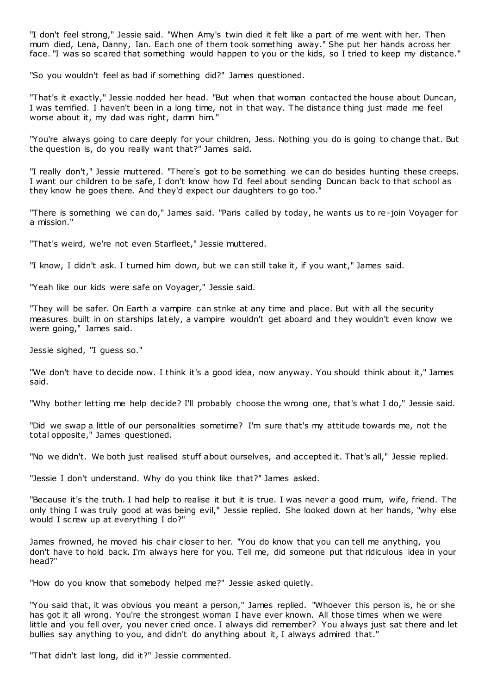"I don't feel strong," Jessie said. "When Amy's twin died it felt like a part of me went with her. Then mum died, Lena, Danny, Ian. Each one of them took something away." She put her hands across her face. "I was so scared that something would happen to you or the kids, so I tried to keep my distance."

"So you wouldn't feel as bad if something did?" James questioned.

"That's it exactly," Jessie nodded her head. "But when that woman contacted the house about Duncan, I was terrified. I haven't been in a long time, not in that way. The distance thing just made me feel worse about it, my dad was right, damn him."

"You're always going to care deeply for your children, Jess. Nothing you do is going to change that. But the question is, do you really want that?" James said.

"I really don't," Jessie muttered. "There's got to be something we can do besides hunting these creeps. I want our children to be safe, I don't know how I'd feel about sending Duncan back to that school as they know he goes there. And they'd expect our daughters to go too."

"There is something we can do," James said. "Paris called by today, he wants us to re-join Voyager for a mission."

"That's weird, we're not even Starfleet," Jessie muttered.

"I know, I didn't ask. I turned him down, but we can still take it, if you want," James said.

"Yeah like our kids were safe on Voyager," Jessie said.

"They will be safer. On Earth a vampire can strike at any time and place. But with all the security measures built in on starships lately, a vampire wouldn't get aboard and they wouldn't even know we were going," James said.

Jessie sighed, "I guess so."

"We don't have to decide now. I think it's a good idea, now anyway. You should think about it," James said.

"Why bother letting me help decide? I'll probably choose the wrong one, that's what I do," Jessie said.

"Did we swap a little of our personalities sometime? I'm sure that's my attitude towards me, not the total opposite," James questioned.

"No we didn't. We both just realised stuff about ourselves, and accepted it. That's all," Jessie replied.

"Jessie I don't understand. Why do you think like that?" James asked.

"Because it's the truth. I had help to realise it but it is true. I was never a good mum, wife, friend. The only thing I was truly good at was being evil," Jessie replied. She looked down at her hands, "why else would I screw up at everything I do?"

James frowned, he moved his chair closer to her. "You do know that you can tell me anything, you don't have to hold back. I'm always here for you. Tell me, did someone put that ridiculous idea in your head?"

"How do you know that somebody helped me?" Jessie asked quietly.

"You said that, it was obvious you meant a person," James replied. "Whoever this person is, he or she has got it all wrong. You're the strongest woman I have ever known. All those times when we were little and you fell over, you never cried once. I always did remember? You always just sat there and let bullies say anything to you, and didn't do anything about it, I always admired that."

"That didn't last long, did it?" Jessie commented.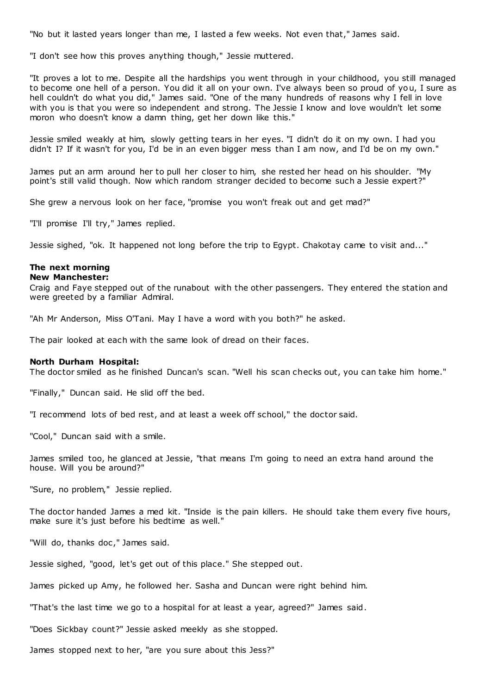"No but it lasted years longer than me, I lasted a few weeks. Not even that," James said.

"I don't see how this proves anything though," Jessie muttered.

"It proves a lot to me. Despite all the hardships you went through in your childhood, you still managed to become one hell of a person. You did it all on your own. I've always been so proud of you, I sure as hell couldn't do what you did," James said. "One of the many hundreds of reasons why I fell in love with you is that you were so independent and strong. The Jessie I know and love wouldn't let some moron who doesn't know a damn thing, get her down like this."

Jessie smiled weakly at him, slowly getting tears in her eyes. "I didn't do it on my own. I had you didn't I? If it wasn't for you, I'd be in an even bigger mess than I am now, and I'd be on my own."

James put an arm around her to pull her closer to him, she rested her head on his shoulder. "My point's still valid though. Now which random stranger decided to become such a Jessie expert?"

She grew a nervous look on her face, "promise you won't freak out and get mad?"

"I'll promise I'll try," James replied.

Jessie sighed, "ok. It happened not long before the trip to Egypt. Chakotay came to visit and..."

# **The next morning**

**New Manchester:**

Craig and Faye stepped out of the runabout with the other passengers. They entered the station and were greeted by a familiar Admiral.

"Ah Mr Anderson, Miss O'Tani. May I have a word with you both?" he asked.

The pair looked at each with the same look of dread on their faces.

### **North Durham Hospital:**

The doctor smiled as he finished Duncan's scan. "Well his scan checks out, you can take him home."

"Finally," Duncan said. He slid off the bed.

"I recommend lots of bed rest, and at least a week off school," the doctor said.

"Cool," Duncan said with a smile.

James smiled too, he glanced at Jessie, "that means I'm going to need an extra hand around the house. Will you be around?"

"Sure, no problem," Jessie replied.

The doctor handed James a med kit. "Inside is the pain killers. He should take them every five hours, make sure it's just before his bedtime as well."

"Will do, thanks doc," James said.

Jessie sighed, "good, let's get out of this place." She stepped out.

James picked up Amy, he followed her. Sasha and Duncan were right behind him.

"That's the last time we go to a hospital for at least a year, agreed?" James said.

"Does Sickbay count?" Jessie asked meekly as she stopped.

James stopped next to her, "are you sure about this Jess?"